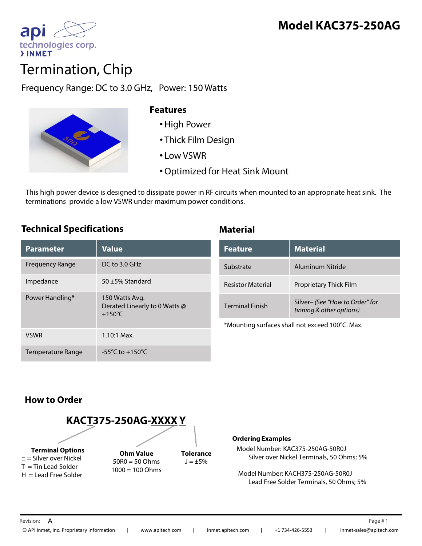

# Termination, Chip

Frequency Range: DC to 3.0 GHz, Power: 150 Watts



#### **Features**

- •High Power
- Thick Film Design
- Low VSWR
- •Optimized for Heat Sink Mount

This high power device is designed to dissipate power in RF circuits when mounted to an appropriate heat sink. The terminations provide a low VSWR under maximum power conditions.

### **Technical Specifications Material**

| <b>Parameter</b>         | <b>Value</b>                                                        |
|--------------------------|---------------------------------------------------------------------|
| Frequency Range          | $DC$ to 3.0 GHz                                                     |
| Impedance                | $50 + 5%$ Standard                                                  |
| Power Handling*          | 150 Watts Avg.<br>Derated Linearly to 0 Watts @<br>$+150^{\circ}$ C |
| <b>VSWR</b>              | $1.10:1$ Max.                                                       |
| <b>Temperature Range</b> | $-55^{\circ}$ C to $+150^{\circ}$ C                                 |

| <b>Feature</b>           | <b>Material</b>                                             |
|--------------------------|-------------------------------------------------------------|
| Substrate                | Aluminum Nitride                                            |
| <b>Resistor Material</b> | Proprietary Thick Film                                      |
| <b>Terminal Finish</b>   | Silver- (See "How to Order" for<br>tinning & other options) |

\*Mounting surfaces shall not exceed 100°C. Max.

# **How to Order**



#### **Ordering Examples**

Model Number: KAC375-250AG-50R0J Silver over Nickel Terminals, 50 Ohms; 5%

Model Number: KACH375-250AG-50R0J Lead Free Solder Terminals, 50 Ohms; 5%

Revision:  $\, {\sf A} \,$  Page #  $\,$